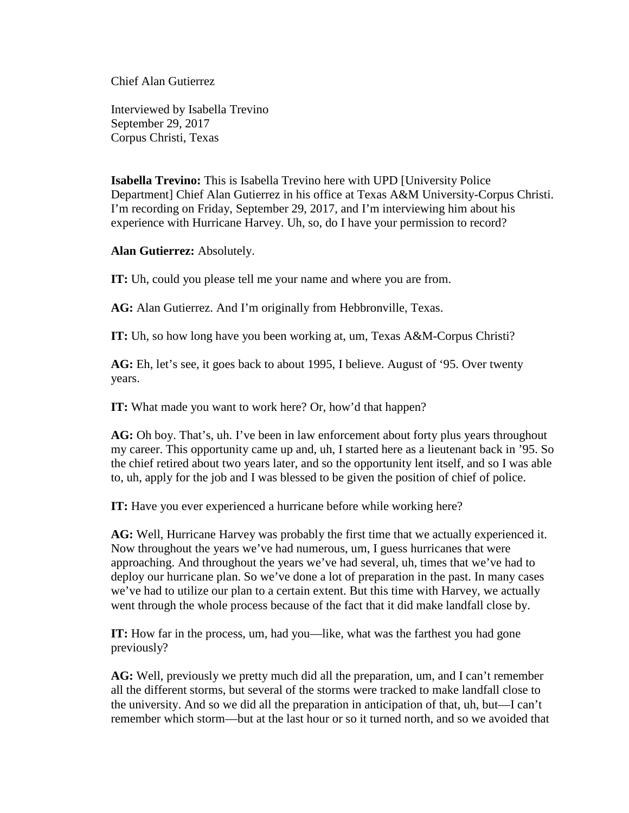Chief Alan Gutierrez

Interviewed by Isabella Trevino September 29, 2017 Corpus Christi, Texas

**Isabella Trevino:** This is Isabella Trevino here with UPD [University Police Department] Chief Alan Gutierrez in his office at Texas A&M University-Corpus Christi. I'm recording on Friday, September 29, 2017, and I'm interviewing him about his experience with Hurricane Harvey. Uh, so, do I have your permission to record?

**Alan Gutierrez:** Absolutely.

**IT:** Uh, could you please tell me your name and where you are from.

AG: Alan Gutierrez. And I'm originally from Hebbronville, Texas.

**IT:** Uh, so how long have you been working at, um, Texas A&M-Corpus Christi?

**AG:** Eh, let's see, it goes back to about 1995, I believe. August of '95. Over twenty years.

**IT:** What made you want to work here? Or, how'd that happen?

**AG:** Oh boy. That's, uh. I've been in law enforcement about forty plus years throughout my career. This opportunity came up and, uh, I started here as a lieutenant back in '95. So the chief retired about two years later, and so the opportunity lent itself, and so I was able to, uh, apply for the job and I was blessed to be given the position of chief of police.

**IT:** Have you ever experienced a hurricane before while working here?

**AG:** Well, Hurricane Harvey was probably the first time that we actually experienced it. Now throughout the years we've had numerous, um, I guess hurricanes that were approaching. And throughout the years we've had several, uh, times that we've had to deploy our hurricane plan. So we've done a lot of preparation in the past. In many cases we've had to utilize our plan to a certain extent. But this time with Harvey, we actually went through the whole process because of the fact that it did make landfall close by.

**IT:** How far in the process, um, had you—like, what was the farthest you had gone previously?

**AG:** Well, previously we pretty much did all the preparation, um, and I can't remember all the different storms, but several of the storms were tracked to make landfall close to the university. And so we did all the preparation in anticipation of that, uh, but—I can't remember which storm—but at the last hour or so it turned north, and so we avoided that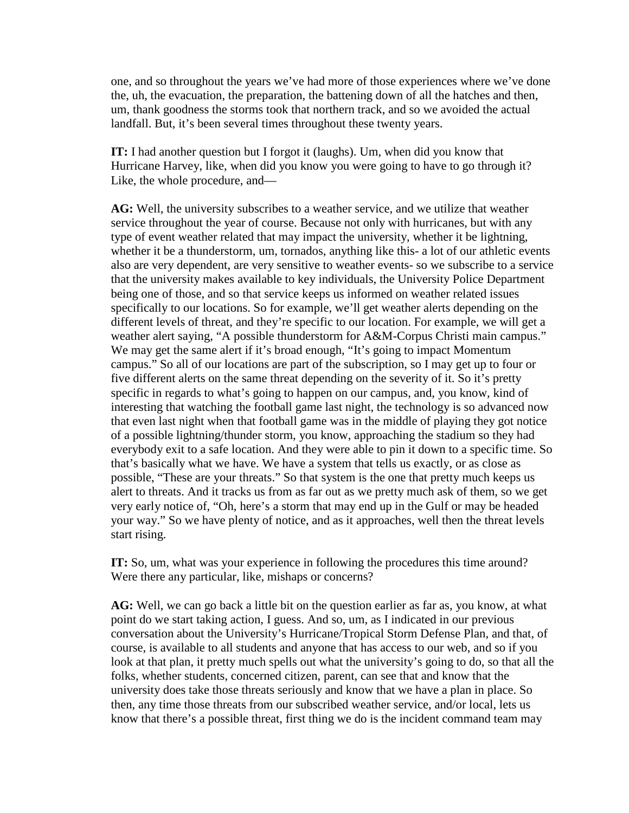one, and so throughout the years we've had more of those experiences where we've done the, uh, the evacuation, the preparation, the battening down of all the hatches and then, um, thank goodness the storms took that northern track, and so we avoided the actual landfall. But, it's been several times throughout these twenty years.

**IT:** I had another question but I forgot it (laughs). Um, when did you know that Hurricane Harvey, like, when did you know you were going to have to go through it? Like, the whole procedure, and—

**AG:** Well, the university subscribes to a weather service, and we utilize that weather service throughout the year of course. Because not only with hurricanes, but with any type of event weather related that may impact the university, whether it be lightning, whether it be a thunderstorm, um, tornados, anything like this- a lot of our athletic events also are very dependent, are very sensitive to weather events- so we subscribe to a service that the university makes available to key individuals, the University Police Department being one of those, and so that service keeps us informed on weather related issues specifically to our locations. So for example, we'll get weather alerts depending on the different levels of threat, and they're specific to our location. For example, we will get a weather alert saying, "A possible thunderstorm for A&M-Corpus Christi main campus." We may get the same alert if it's broad enough, "It's going to impact Momentum campus." So all of our locations are part of the subscription, so I may get up to four or five different alerts on the same threat depending on the severity of it. So it's pretty specific in regards to what's going to happen on our campus, and, you know, kind of interesting that watching the football game last night, the technology is so advanced now that even last night when that football game was in the middle of playing they got notice of a possible lightning/thunder storm, you know, approaching the stadium so they had everybody exit to a safe location. And they were able to pin it down to a specific time. So that's basically what we have. We have a system that tells us exactly, or as close as possible, "These are your threats." So that system is the one that pretty much keeps us alert to threats. And it tracks us from as far out as we pretty much ask of them, so we get very early notice of, "Oh, here's a storm that may end up in the Gulf or may be headed your way." So we have plenty of notice, and as it approaches, well then the threat levels start rising.

**IT:** So, um, what was your experience in following the procedures this time around? Were there any particular, like, mishaps or concerns?

**AG:** Well, we can go back a little bit on the question earlier as far as, you know, at what point do we start taking action, I guess. And so, um, as I indicated in our previous conversation about the University's Hurricane/Tropical Storm Defense Plan, and that, of course, is available to all students and anyone that has access to our web, and so if you look at that plan, it pretty much spells out what the university's going to do, so that all the folks, whether students, concerned citizen, parent, can see that and know that the university does take those threats seriously and know that we have a plan in place. So then, any time those threats from our subscribed weather service, and/or local, lets us know that there's a possible threat, first thing we do is the incident command team may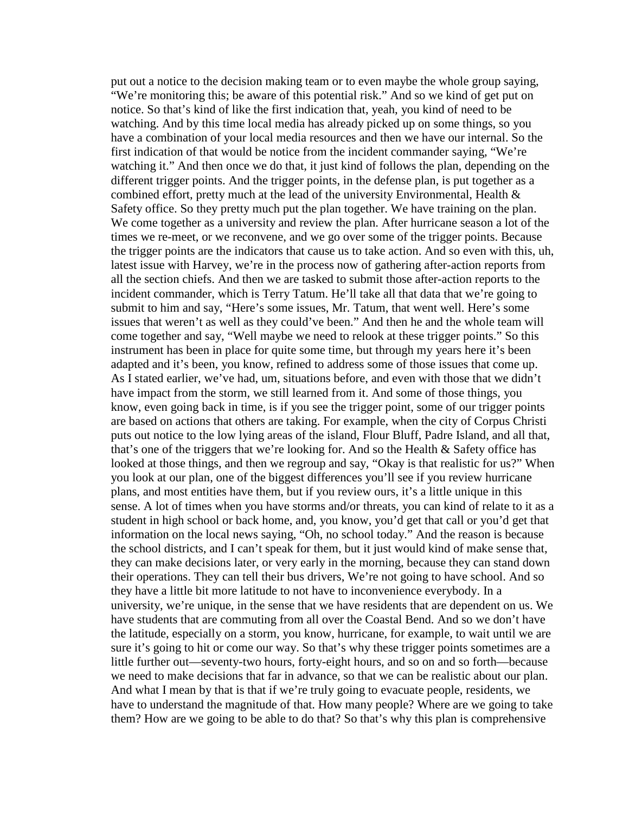put out a notice to the decision making team or to even maybe the whole group saying, "We're monitoring this; be aware of this potential risk." And so we kind of get put on notice. So that's kind of like the first indication that, yeah, you kind of need to be watching. And by this time local media has already picked up on some things, so you have a combination of your local media resources and then we have our internal. So the first indication of that would be notice from the incident commander saying, "We're watching it." And then once we do that, it just kind of follows the plan, depending on the different trigger points. And the trigger points, in the defense plan, is put together as a combined effort, pretty much at the lead of the university Environmental, Health  $\&$ Safety office. So they pretty much put the plan together. We have training on the plan. We come together as a university and review the plan. After hurricane season a lot of the times we re-meet, or we reconvene, and we go over some of the trigger points. Because the trigger points are the indicators that cause us to take action. And so even with this, uh, latest issue with Harvey, we're in the process now of gathering after-action reports from all the section chiefs. And then we are tasked to submit those after-action reports to the incident commander, which is Terry Tatum. He'll take all that data that we're going to submit to him and say, "Here's some issues, Mr. Tatum, that went well. Here's some issues that weren't as well as they could've been." And then he and the whole team will come together and say, "Well maybe we need to relook at these trigger points." So this instrument has been in place for quite some time, but through my years here it's been adapted and it's been, you know, refined to address some of those issues that come up. As I stated earlier, we've had, um, situations before, and even with those that we didn't have impact from the storm, we still learned from it. And some of those things, you know, even going back in time, is if you see the trigger point, some of our trigger points are based on actions that others are taking. For example, when the city of Corpus Christi puts out notice to the low lying areas of the island, Flour Bluff, Padre Island, and all that, that's one of the triggers that we're looking for. And so the Health & Safety office has looked at those things, and then we regroup and say, "Okay is that realistic for us?" When you look at our plan, one of the biggest differences you'll see if you review hurricane plans, and most entities have them, but if you review ours, it's a little unique in this sense. A lot of times when you have storms and/or threats, you can kind of relate to it as a student in high school or back home, and, you know, you'd get that call or you'd get that information on the local news saying, "Oh, no school today." And the reason is because the school districts, and I can't speak for them, but it just would kind of make sense that, they can make decisions later, or very early in the morning, because they can stand down their operations. They can tell their bus drivers, We're not going to have school. And so they have a little bit more latitude to not have to inconvenience everybody. In a university, we're unique, in the sense that we have residents that are dependent on us. We have students that are commuting from all over the Coastal Bend. And so we don't have the latitude, especially on a storm, you know, hurricane, for example, to wait until we are sure it's going to hit or come our way. So that's why these trigger points sometimes are a little further out—seventy-two hours, forty-eight hours, and so on and so forth—because we need to make decisions that far in advance, so that we can be realistic about our plan. And what I mean by that is that if we're truly going to evacuate people, residents, we have to understand the magnitude of that. How many people? Where are we going to take them? How are we going to be able to do that? So that's why this plan is comprehensive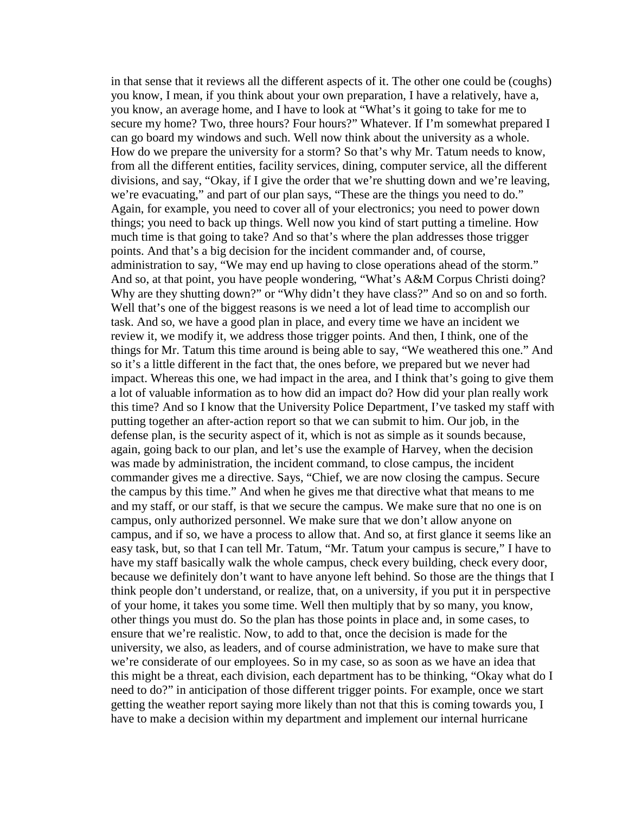in that sense that it reviews all the different aspects of it. The other one could be (coughs) you know, I mean, if you think about your own preparation, I have a relatively, have a, you know, an average home, and I have to look at "What's it going to take for me to secure my home? Two, three hours? Four hours?" Whatever. If I'm somewhat prepared I can go board my windows and such. Well now think about the university as a whole. How do we prepare the university for a storm? So that's why Mr. Tatum needs to know, from all the different entities, facility services, dining, computer service, all the different divisions, and say, "Okay, if I give the order that we're shutting down and we're leaving, we're evacuating," and part of our plan says, "These are the things you need to do." Again, for example, you need to cover all of your electronics; you need to power down things; you need to back up things. Well now you kind of start putting a timeline. How much time is that going to take? And so that's where the plan addresses those trigger points. And that's a big decision for the incident commander and, of course, administration to say, "We may end up having to close operations ahead of the storm." And so, at that point, you have people wondering, "What's A&M Corpus Christi doing? Why are they shutting down?" or "Why didn't they have class?" And so on and so forth. Well that's one of the biggest reasons is we need a lot of lead time to accomplish our task. And so, we have a good plan in place, and every time we have an incident we review it, we modify it, we address those trigger points. And then, I think, one of the things for Mr. Tatum this time around is being able to say, "We weathered this one." And so it's a little different in the fact that, the ones before, we prepared but we never had impact. Whereas this one, we had impact in the area, and I think that's going to give them a lot of valuable information as to how did an impact do? How did your plan really work this time? And so I know that the University Police Department, I've tasked my staff with putting together an after-action report so that we can submit to him. Our job, in the defense plan, is the security aspect of it, which is not as simple as it sounds because, again, going back to our plan, and let's use the example of Harvey, when the decision was made by administration, the incident command, to close campus, the incident commander gives me a directive. Says, "Chief, we are now closing the campus. Secure the campus by this time." And when he gives me that directive what that means to me and my staff, or our staff, is that we secure the campus. We make sure that no one is on campus, only authorized personnel. We make sure that we don't allow anyone on campus, and if so, we have a process to allow that. And so, at first glance it seems like an easy task, but, so that I can tell Mr. Tatum, "Mr. Tatum your campus is secure," I have to have my staff basically walk the whole campus, check every building, check every door, because we definitely don't want to have anyone left behind. So those are the things that I think people don't understand, or realize, that, on a university, if you put it in perspective of your home, it takes you some time. Well then multiply that by so many, you know, other things you must do. So the plan has those points in place and, in some cases, to ensure that we're realistic. Now, to add to that, once the decision is made for the university, we also, as leaders, and of course administration, we have to make sure that we're considerate of our employees. So in my case, so as soon as we have an idea that this might be a threat, each division, each department has to be thinking, "Okay what do I need to do?" in anticipation of those different trigger points. For example, once we start getting the weather report saying more likely than not that this is coming towards you, I have to make a decision within my department and implement our internal hurricane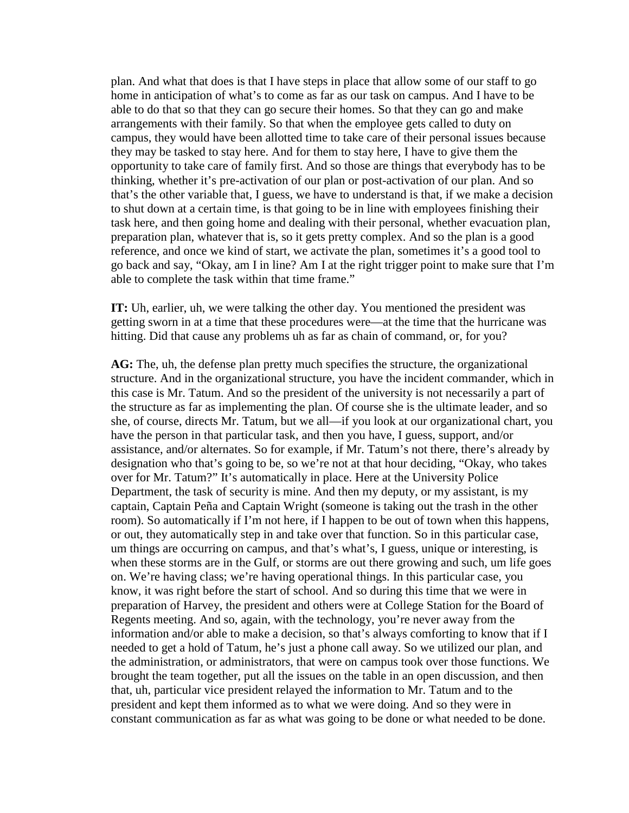plan. And what that does is that I have steps in place that allow some of our staff to go home in anticipation of what's to come as far as our task on campus. And I have to be able to do that so that they can go secure their homes. So that they can go and make arrangements with their family. So that when the employee gets called to duty on campus, they would have been allotted time to take care of their personal issues because they may be tasked to stay here. And for them to stay here, I have to give them the opportunity to take care of family first. And so those are things that everybody has to be thinking, whether it's pre-activation of our plan or post-activation of our plan. And so that's the other variable that, I guess, we have to understand is that, if we make a decision to shut down at a certain time, is that going to be in line with employees finishing their task here, and then going home and dealing with their personal, whether evacuation plan, preparation plan, whatever that is, so it gets pretty complex. And so the plan is a good reference, and once we kind of start, we activate the plan, sometimes it's a good tool to go back and say, "Okay, am I in line? Am I at the right trigger point to make sure that I'm able to complete the task within that time frame."

**IT:** Uh, earlier, uh, we were talking the other day. You mentioned the president was getting sworn in at a time that these procedures were—at the time that the hurricane was hitting. Did that cause any problems uh as far as chain of command, or, for you?

**AG:** The, uh, the defense plan pretty much specifies the structure, the organizational structure. And in the organizational structure, you have the incident commander, which in this case is Mr. Tatum. And so the president of the university is not necessarily a part of the structure as far as implementing the plan. Of course she is the ultimate leader, and so she, of course, directs Mr. Tatum, but we all—if you look at our organizational chart, you have the person in that particular task, and then you have, I guess, support, and/or assistance, and/or alternates. So for example, if Mr. Tatum's not there, there's already by designation who that's going to be, so we're not at that hour deciding, "Okay, who takes over for Mr. Tatum?" It's automatically in place. Here at the University Police Department, the task of security is mine. And then my deputy, or my assistant, is my captain, Captain Peña and Captain Wright (someone is taking out the trash in the other room). So automatically if I'm not here, if I happen to be out of town when this happens, or out, they automatically step in and take over that function. So in this particular case, um things are occurring on campus, and that's what's, I guess, unique or interesting, is when these storms are in the Gulf, or storms are out there growing and such, um life goes on. We're having class; we're having operational things. In this particular case, you know, it was right before the start of school. And so during this time that we were in preparation of Harvey, the president and others were at College Station for the Board of Regents meeting. And so, again, with the technology, you're never away from the information and/or able to make a decision, so that's always comforting to know that if I needed to get a hold of Tatum, he's just a phone call away. So we utilized our plan, and the administration, or administrators, that were on campus took over those functions. We brought the team together, put all the issues on the table in an open discussion, and then that, uh, particular vice president relayed the information to Mr. Tatum and to the president and kept them informed as to what we were doing. And so they were in constant communication as far as what was going to be done or what needed to be done.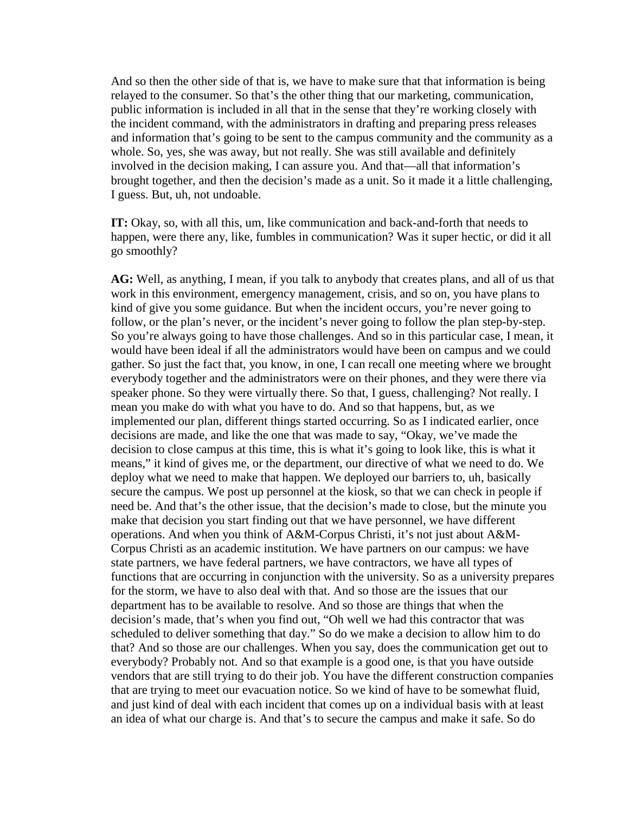And so then the other side of that is, we have to make sure that that information is being relayed to the consumer. So that's the other thing that our marketing, communication, public information is included in all that in the sense that they're working closely with the incident command, with the administrators in drafting and preparing press releases and information that's going to be sent to the campus community and the community as a whole. So, yes, she was away, but not really. She was still available and definitely involved in the decision making, I can assure you. And that—all that information's brought together, and then the decision's made as a unit. So it made it a little challenging, I guess. But, uh, not undoable.

**IT:** Okay, so, with all this, um, like communication and back-and-forth that needs to happen, were there any, like, fumbles in communication? Was it super hectic, or did it all go smoothly?

**AG:** Well, as anything, I mean, if you talk to anybody that creates plans, and all of us that work in this environment, emergency management, crisis, and so on, you have plans to kind of give you some guidance. But when the incident occurs, you're never going to follow, or the plan's never, or the incident's never going to follow the plan step-by-step. So you're always going to have those challenges. And so in this particular case, I mean, it would have been ideal if all the administrators would have been on campus and we could gather. So just the fact that, you know, in one, I can recall one meeting where we brought everybody together and the administrators were on their phones, and they were there via speaker phone. So they were virtually there. So that, I guess, challenging? Not really. I mean you make do with what you have to do. And so that happens, but, as we implemented our plan, different things started occurring. So as I indicated earlier, once decisions are made, and like the one that was made to say, "Okay, we've made the decision to close campus at this time, this is what it's going to look like, this is what it means," it kind of gives me, or the department, our directive of what we need to do. We deploy what we need to make that happen. We deployed our barriers to, uh, basically secure the campus. We post up personnel at the kiosk, so that we can check in people if need be. And that's the other issue, that the decision's made to close, but the minute you make that decision you start finding out that we have personnel, we have different operations. And when you think of A&M-Corpus Christi, it's not just about A&M-Corpus Christi as an academic institution. We have partners on our campus: we have state partners, we have federal partners, we have contractors, we have all types of functions that are occurring in conjunction with the university. So as a university prepares for the storm, we have to also deal with that. And so those are the issues that our department has to be available to resolve. And so those are things that when the decision's made, that's when you find out, "Oh well we had this contractor that was scheduled to deliver something that day." So do we make a decision to allow him to do that? And so those are our challenges. When you say, does the communication get out to everybody? Probably not. And so that example is a good one, is that you have outside vendors that are still trying to do their job. You have the different construction companies that are trying to meet our evacuation notice. So we kind of have to be somewhat fluid, and just kind of deal with each incident that comes up on a individual basis with at least an idea of what our charge is. And that's to secure the campus and make it safe. So do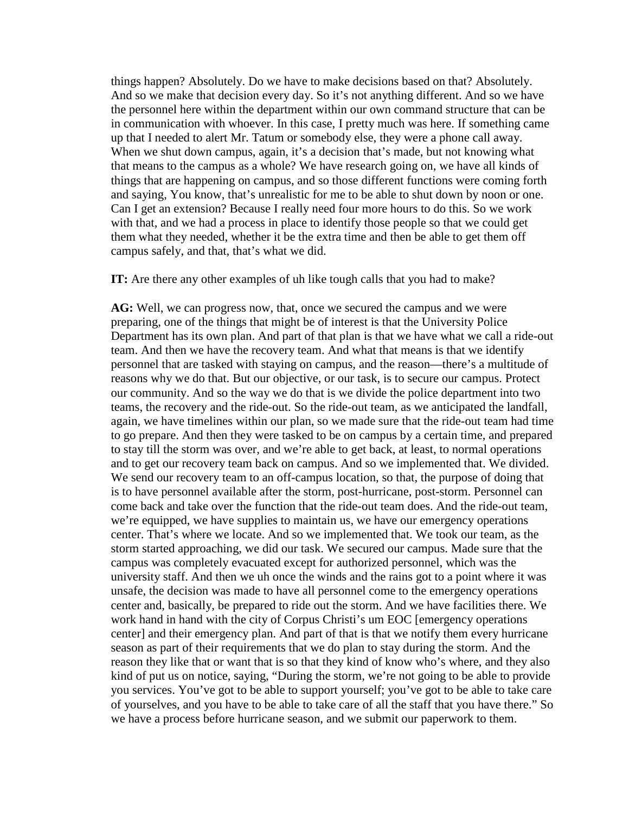things happen? Absolutely. Do we have to make decisions based on that? Absolutely. And so we make that decision every day. So it's not anything different. And so we have the personnel here within the department within our own command structure that can be in communication with whoever. In this case, I pretty much was here. If something came up that I needed to alert Mr. Tatum or somebody else, they were a phone call away. When we shut down campus, again, it's a decision that's made, but not knowing what that means to the campus as a whole? We have research going on, we have all kinds of things that are happening on campus, and so those different functions were coming forth and saying, You know, that's unrealistic for me to be able to shut down by noon or one. Can I get an extension? Because I really need four more hours to do this. So we work with that, and we had a process in place to identify those people so that we could get them what they needed, whether it be the extra time and then be able to get them off campus safely, and that, that's what we did.

**IT:** Are there any other examples of uh like tough calls that you had to make?

**AG:** Well, we can progress now, that, once we secured the campus and we were preparing, one of the things that might be of interest is that the University Police Department has its own plan. And part of that plan is that we have what we call a ride-out team. And then we have the recovery team. And what that means is that we identify personnel that are tasked with staying on campus, and the reason—there's a multitude of reasons why we do that. But our objective, or our task, is to secure our campus. Protect our community. And so the way we do that is we divide the police department into two teams, the recovery and the ride-out. So the ride-out team, as we anticipated the landfall, again, we have timelines within our plan, so we made sure that the ride-out team had time to go prepare. And then they were tasked to be on campus by a certain time, and prepared to stay till the storm was over, and we're able to get back, at least, to normal operations and to get our recovery team back on campus. And so we implemented that. We divided. We send our recovery team to an off-campus location, so that, the purpose of doing that is to have personnel available after the storm, post-hurricane, post-storm. Personnel can come back and take over the function that the ride-out team does. And the ride-out team, we're equipped, we have supplies to maintain us, we have our emergency operations center. That's where we locate. And so we implemented that. We took our team, as the storm started approaching, we did our task. We secured our campus. Made sure that the campus was completely evacuated except for authorized personnel, which was the university staff. And then we uh once the winds and the rains got to a point where it was unsafe, the decision was made to have all personnel come to the emergency operations center and, basically, be prepared to ride out the storm. And we have facilities there. We work hand in hand with the city of Corpus Christi's um EOC [emergency operations center] and their emergency plan. And part of that is that we notify them every hurricane season as part of their requirements that we do plan to stay during the storm. And the reason they like that or want that is so that they kind of know who's where, and they also kind of put us on notice, saying, "During the storm, we're not going to be able to provide you services. You've got to be able to support yourself; you've got to be able to take care of yourselves, and you have to be able to take care of all the staff that you have there." So we have a process before hurricane season, and we submit our paperwork to them.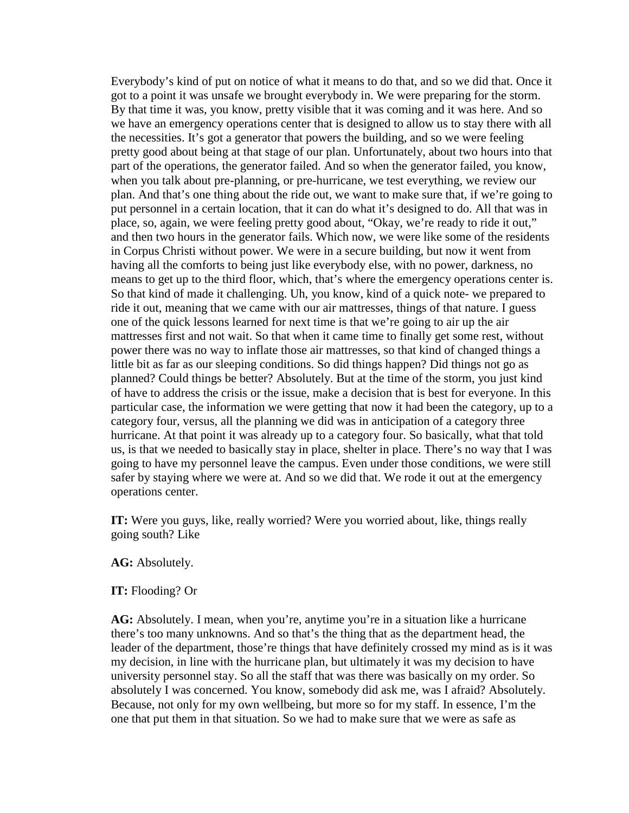Everybody's kind of put on notice of what it means to do that, and so we did that. Once it got to a point it was unsafe we brought everybody in. We were preparing for the storm. By that time it was, you know, pretty visible that it was coming and it was here. And so we have an emergency operations center that is designed to allow us to stay there with all the necessities. It's got a generator that powers the building, and so we were feeling pretty good about being at that stage of our plan. Unfortunately, about two hours into that part of the operations, the generator failed. And so when the generator failed, you know, when you talk about pre-planning, or pre-hurricane, we test everything, we review our plan. And that's one thing about the ride out, we want to make sure that, if we're going to put personnel in a certain location, that it can do what it's designed to do. All that was in place, so, again, we were feeling pretty good about, "Okay, we're ready to ride it out," and then two hours in the generator fails. Which now, we were like some of the residents in Corpus Christi without power. We were in a secure building, but now it went from having all the comforts to being just like everybody else, with no power, darkness, no means to get up to the third floor, which, that's where the emergency operations center is. So that kind of made it challenging. Uh, you know, kind of a quick note- we prepared to ride it out, meaning that we came with our air mattresses, things of that nature. I guess one of the quick lessons learned for next time is that we're going to air up the air mattresses first and not wait. So that when it came time to finally get some rest, without power there was no way to inflate those air mattresses, so that kind of changed things a little bit as far as our sleeping conditions. So did things happen? Did things not go as planned? Could things be better? Absolutely. But at the time of the storm, you just kind of have to address the crisis or the issue, make a decision that is best for everyone. In this particular case, the information we were getting that now it had been the category, up to a category four, versus, all the planning we did was in anticipation of a category three hurricane. At that point it was already up to a category four. So basically, what that told us, is that we needed to basically stay in place, shelter in place. There's no way that I was going to have my personnel leave the campus. Even under those conditions, we were still safer by staying where we were at. And so we did that. We rode it out at the emergency operations center.

**IT:** Were you guys, like, really worried? Were you worried about, like, things really going south? Like

## **AG:** Absolutely.

## **IT:** Flooding? Or

**AG:** Absolutely. I mean, when you're, anytime you're in a situation like a hurricane there's too many unknowns. And so that's the thing that as the department head, the leader of the department, those're things that have definitely crossed my mind as is it was my decision, in line with the hurricane plan, but ultimately it was my decision to have university personnel stay. So all the staff that was there was basically on my order. So absolutely I was concerned. You know, somebody did ask me, was I afraid? Absolutely. Because, not only for my own wellbeing, but more so for my staff. In essence, I'm the one that put them in that situation. So we had to make sure that we were as safe as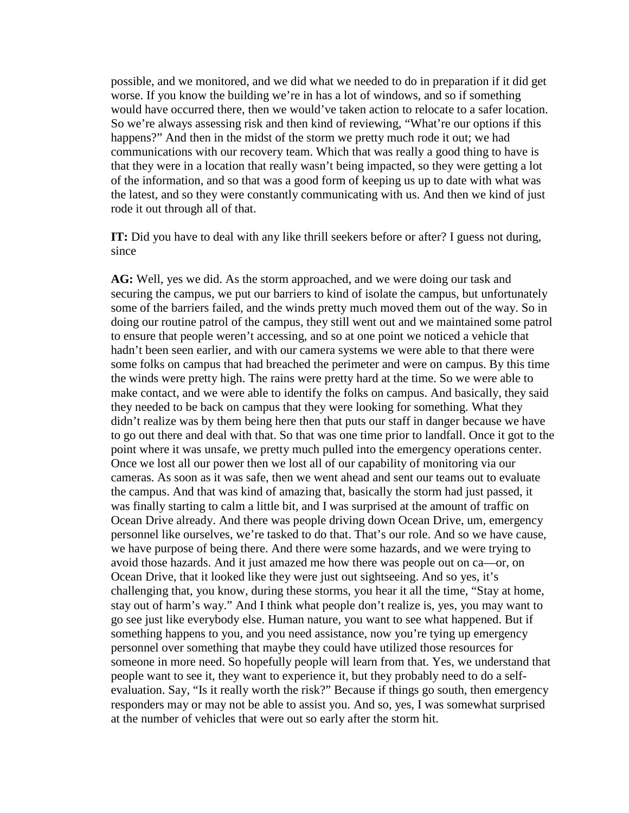possible, and we monitored, and we did what we needed to do in preparation if it did get worse. If you know the building we're in has a lot of windows, and so if something would have occurred there, then we would've taken action to relocate to a safer location. So we're always assessing risk and then kind of reviewing, "What're our options if this happens?" And then in the midst of the storm we pretty much rode it out; we had communications with our recovery team. Which that was really a good thing to have is that they were in a location that really wasn't being impacted, so they were getting a lot of the information, and so that was a good form of keeping us up to date with what was the latest, and so they were constantly communicating with us. And then we kind of just rode it out through all of that.

**IT:** Did you have to deal with any like thrill seekers before or after? I guess not during, since

**AG:** Well, yes we did. As the storm approached, and we were doing our task and securing the campus, we put our barriers to kind of isolate the campus, but unfortunately some of the barriers failed, and the winds pretty much moved them out of the way. So in doing our routine patrol of the campus, they still went out and we maintained some patrol to ensure that people weren't accessing, and so at one point we noticed a vehicle that hadn't been seen earlier, and with our camera systems we were able to that there were some folks on campus that had breached the perimeter and were on campus. By this time the winds were pretty high. The rains were pretty hard at the time. So we were able to make contact, and we were able to identify the folks on campus. And basically, they said they needed to be back on campus that they were looking for something. What they didn't realize was by them being here then that puts our staff in danger because we have to go out there and deal with that. So that was one time prior to landfall. Once it got to the point where it was unsafe, we pretty much pulled into the emergency operations center. Once we lost all our power then we lost all of our capability of monitoring via our cameras. As soon as it was safe, then we went ahead and sent our teams out to evaluate the campus. And that was kind of amazing that, basically the storm had just passed, it was finally starting to calm a little bit, and I was surprised at the amount of traffic on Ocean Drive already. And there was people driving down Ocean Drive, um, emergency personnel like ourselves, we're tasked to do that. That's our role. And so we have cause, we have purpose of being there. And there were some hazards, and we were trying to avoid those hazards. And it just amazed me how there was people out on ca—or, on Ocean Drive, that it looked like they were just out sightseeing. And so yes, it's challenging that, you know, during these storms, you hear it all the time, "Stay at home, stay out of harm's way." And I think what people don't realize is, yes, you may want to go see just like everybody else. Human nature, you want to see what happened. But if something happens to you, and you need assistance, now you're tying up emergency personnel over something that maybe they could have utilized those resources for someone in more need. So hopefully people will learn from that. Yes, we understand that people want to see it, they want to experience it, but they probably need to do a selfevaluation. Say, "Is it really worth the risk?" Because if things go south, then emergency responders may or may not be able to assist you. And so, yes, I was somewhat surprised at the number of vehicles that were out so early after the storm hit.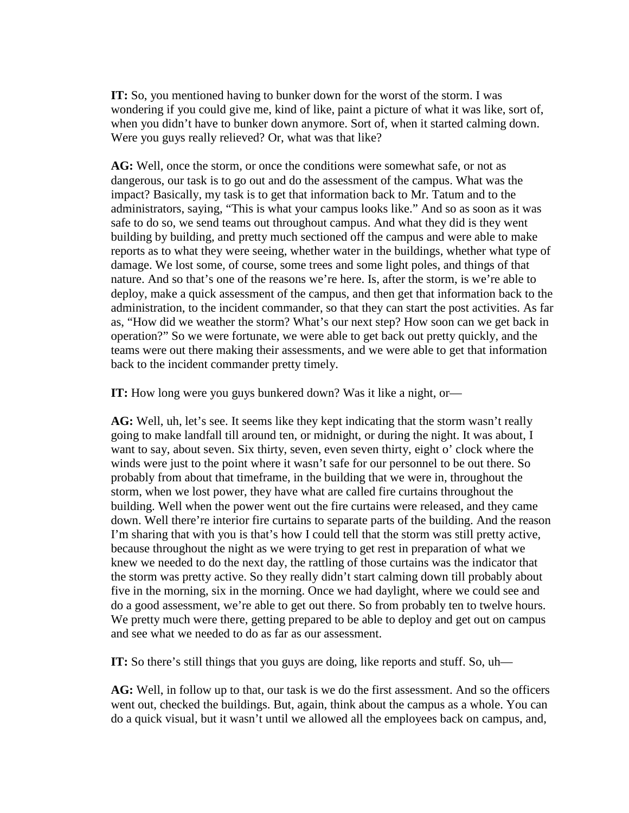**IT:** So, you mentioned having to bunker down for the worst of the storm. I was wondering if you could give me, kind of like, paint a picture of what it was like, sort of, when you didn't have to bunker down anymore. Sort of, when it started calming down. Were you guys really relieved? Or, what was that like?

**AG:** Well, once the storm, or once the conditions were somewhat safe, or not as dangerous, our task is to go out and do the assessment of the campus. What was the impact? Basically, my task is to get that information back to Mr. Tatum and to the administrators, saying, "This is what your campus looks like." And so as soon as it was safe to do so, we send teams out throughout campus. And what they did is they went building by building, and pretty much sectioned off the campus and were able to make reports as to what they were seeing, whether water in the buildings, whether what type of damage. We lost some, of course, some trees and some light poles, and things of that nature. And so that's one of the reasons we're here. Is, after the storm, is we're able to deploy, make a quick assessment of the campus, and then get that information back to the administration, to the incident commander, so that they can start the post activities. As far as, "How did we weather the storm? What's our next step? How soon can we get back in operation?" So we were fortunate, we were able to get back out pretty quickly, and the teams were out there making their assessments, and we were able to get that information back to the incident commander pretty timely.

**IT:** How long were you guys bunkered down? Was it like a night, or—

**AG:** Well, uh, let's see. It seems like they kept indicating that the storm wasn't really going to make landfall till around ten, or midnight, or during the night. It was about, I want to say, about seven. Six thirty, seven, even seven thirty, eight o' clock where the winds were just to the point where it wasn't safe for our personnel to be out there. So probably from about that timeframe, in the building that we were in, throughout the storm, when we lost power, they have what are called fire curtains throughout the building. Well when the power went out the fire curtains were released, and they came down. Well there're interior fire curtains to separate parts of the building. And the reason I'm sharing that with you is that's how I could tell that the storm was still pretty active, because throughout the night as we were trying to get rest in preparation of what we knew we needed to do the next day, the rattling of those curtains was the indicator that the storm was pretty active. So they really didn't start calming down till probably about five in the morning, six in the morning. Once we had daylight, where we could see and do a good assessment, we're able to get out there. So from probably ten to twelve hours. We pretty much were there, getting prepared to be able to deploy and get out on campus and see what we needed to do as far as our assessment.

**IT:** So there's still things that you guys are doing, like reports and stuff. So, uh—

**AG:** Well, in follow up to that, our task is we do the first assessment. And so the officers went out, checked the buildings. But, again, think about the campus as a whole. You can do a quick visual, but it wasn't until we allowed all the employees back on campus, and,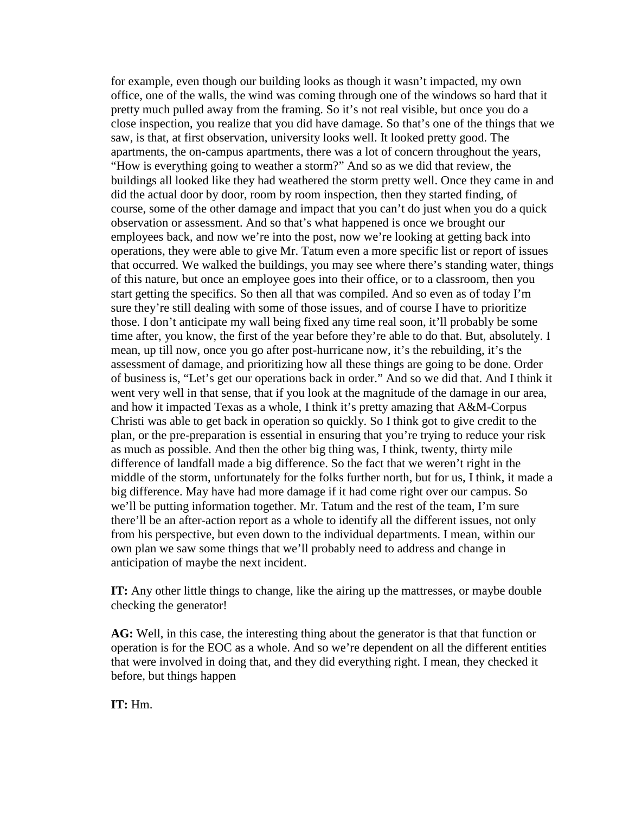for example, even though our building looks as though it wasn't impacted, my own office, one of the walls, the wind was coming through one of the windows so hard that it pretty much pulled away from the framing. So it's not real visible, but once you do a close inspection, you realize that you did have damage. So that's one of the things that we saw, is that, at first observation, university looks well. It looked pretty good. The apartments, the on-campus apartments, there was a lot of concern throughout the years, "How is everything going to weather a storm?" And so as we did that review, the buildings all looked like they had weathered the storm pretty well. Once they came in and did the actual door by door, room by room inspection, then they started finding, of course, some of the other damage and impact that you can't do just when you do a quick observation or assessment. And so that's what happened is once we brought our employees back, and now we're into the post, now we're looking at getting back into operations, they were able to give Mr. Tatum even a more specific list or report of issues that occurred. We walked the buildings, you may see where there's standing water, things of this nature, but once an employee goes into their office, or to a classroom, then you start getting the specifics. So then all that was compiled. And so even as of today I'm sure they're still dealing with some of those issues, and of course I have to prioritize those. I don't anticipate my wall being fixed any time real soon, it'll probably be some time after, you know, the first of the year before they're able to do that. But, absolutely. I mean, up till now, once you go after post-hurricane now, it's the rebuilding, it's the assessment of damage, and prioritizing how all these things are going to be done. Order of business is, "Let's get our operations back in order." And so we did that. And I think it went very well in that sense, that if you look at the magnitude of the damage in our area, and how it impacted Texas as a whole, I think it's pretty amazing that A&M-Corpus Christi was able to get back in operation so quickly. So I think got to give credit to the plan, or the pre-preparation is essential in ensuring that you're trying to reduce your risk as much as possible. And then the other big thing was, I think, twenty, thirty mile difference of landfall made a big difference. So the fact that we weren't right in the middle of the storm, unfortunately for the folks further north, but for us, I think, it made a big difference. May have had more damage if it had come right over our campus. So we'll be putting information together. Mr. Tatum and the rest of the team, I'm sure there'll be an after-action report as a whole to identify all the different issues, not only from his perspective, but even down to the individual departments. I mean, within our own plan we saw some things that we'll probably need to address and change in anticipation of maybe the next incident.

**IT:** Any other little things to change, like the airing up the mattresses, or maybe double checking the generator!

**AG:** Well, in this case, the interesting thing about the generator is that that function or operation is for the EOC as a whole. And so we're dependent on all the different entities that were involved in doing that, and they did everything right. I mean, they checked it before, but things happen

**IT:** Hm.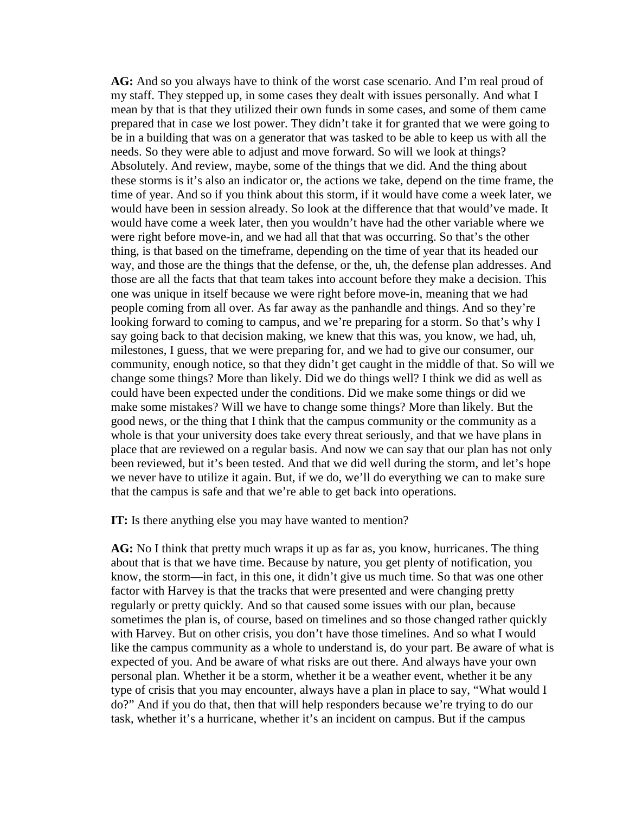**AG:** And so you always have to think of the worst case scenario. And I'm real proud of my staff. They stepped up, in some cases they dealt with issues personally. And what I mean by that is that they utilized their own funds in some cases, and some of them came prepared that in case we lost power. They didn't take it for granted that we were going to be in a building that was on a generator that was tasked to be able to keep us with all the needs. So they were able to adjust and move forward. So will we look at things? Absolutely. And review, maybe, some of the things that we did. And the thing about these storms is it's also an indicator or, the actions we take, depend on the time frame, the time of year. And so if you think about this storm, if it would have come a week later, we would have been in session already. So look at the difference that that would've made. It would have come a week later, then you wouldn't have had the other variable where we were right before move-in, and we had all that that was occurring. So that's the other thing, is that based on the timeframe, depending on the time of year that its headed our way, and those are the things that the defense, or the, uh, the defense plan addresses. And those are all the facts that that team takes into account before they make a decision. This one was unique in itself because we were right before move-in, meaning that we had people coming from all over. As far away as the panhandle and things. And so they're looking forward to coming to campus, and we're preparing for a storm. So that's why I say going back to that decision making, we knew that this was, you know, we had, uh, milestones, I guess, that we were preparing for, and we had to give our consumer, our community, enough notice, so that they didn't get caught in the middle of that. So will we change some things? More than likely. Did we do things well? I think we did as well as could have been expected under the conditions. Did we make some things or did we make some mistakes? Will we have to change some things? More than likely. But the good news, or the thing that I think that the campus community or the community as a whole is that your university does take every threat seriously, and that we have plans in place that are reviewed on a regular basis. And now we can say that our plan has not only been reviewed, but it's been tested. And that we did well during the storm, and let's hope we never have to utilize it again. But, if we do, we'll do everything we can to make sure that the campus is safe and that we're able to get back into operations.

**IT:** Is there anything else you may have wanted to mention?

**AG:** No I think that pretty much wraps it up as far as, you know, hurricanes. The thing about that is that we have time. Because by nature, you get plenty of notification, you know, the storm—in fact, in this one, it didn't give us much time. So that was one other factor with Harvey is that the tracks that were presented and were changing pretty regularly or pretty quickly. And so that caused some issues with our plan, because sometimes the plan is, of course, based on timelines and so those changed rather quickly with Harvey. But on other crisis, you don't have those timelines. And so what I would like the campus community as a whole to understand is, do your part. Be aware of what is expected of you. And be aware of what risks are out there. And always have your own personal plan. Whether it be a storm, whether it be a weather event, whether it be any type of crisis that you may encounter, always have a plan in place to say, "What would I do?" And if you do that, then that will help responders because we're trying to do our task, whether it's a hurricane, whether it's an incident on campus. But if the campus